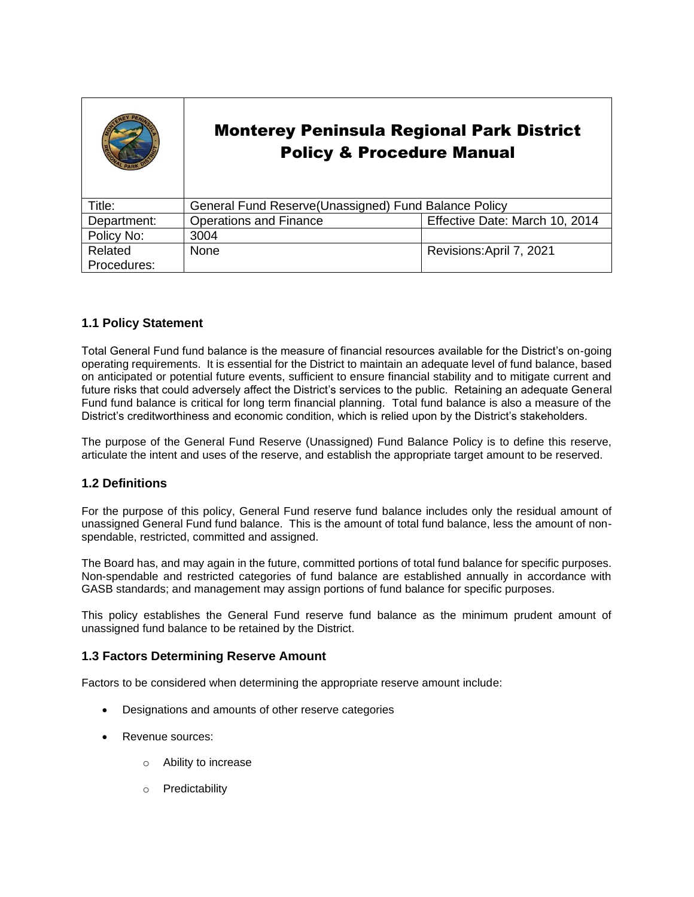|             | <b>Monterey Peninsula Regional Park District</b><br><b>Policy &amp; Procedure Manual</b> |                                |
|-------------|------------------------------------------------------------------------------------------|--------------------------------|
| Title:      | General Fund Reserve (Unassigned) Fund Balance Policy                                    |                                |
| Department: | <b>Operations and Finance</b>                                                            | Effective Date: March 10, 2014 |
| Policy No:  | 3004                                                                                     |                                |
| Related     | None                                                                                     | Revisions: April 7, 2021       |
| Procedures: |                                                                                          |                                |

### **1.1 Policy Statement**

Total General Fund fund balance is the measure of financial resources available for the District's on-going operating requirements. It is essential for the District to maintain an adequate level of fund balance, based on anticipated or potential future events, sufficient to ensure financial stability and to mitigate current and future risks that could adversely affect the District's services to the public. Retaining an adequate General Fund fund balance is critical for long term financial planning. Total fund balance is also a measure of the District's creditworthiness and economic condition, which is relied upon by the District's stakeholders.

The purpose of the General Fund Reserve (Unassigned) Fund Balance Policy is to define this reserve, articulate the intent and uses of the reserve, and establish the appropriate target amount to be reserved.

### **1.2 Definitions**

For the purpose of this policy, General Fund reserve fund balance includes only the residual amount of unassigned General Fund fund balance. This is the amount of total fund balance, less the amount of nonspendable, restricted, committed and assigned.

The Board has, and may again in the future, committed portions of total fund balance for specific purposes. Non-spendable and restricted categories of fund balance are established annually in accordance with GASB standards; and management may assign portions of fund balance for specific purposes.

This policy establishes the General Fund reserve fund balance as the minimum prudent amount of unassigned fund balance to be retained by the District.

### **1.3 Factors Determining Reserve Amount**

Factors to be considered when determining the appropriate reserve amount include:

- Designations and amounts of other reserve categories
- Revenue sources:
	- o Ability to increase
	- o Predictability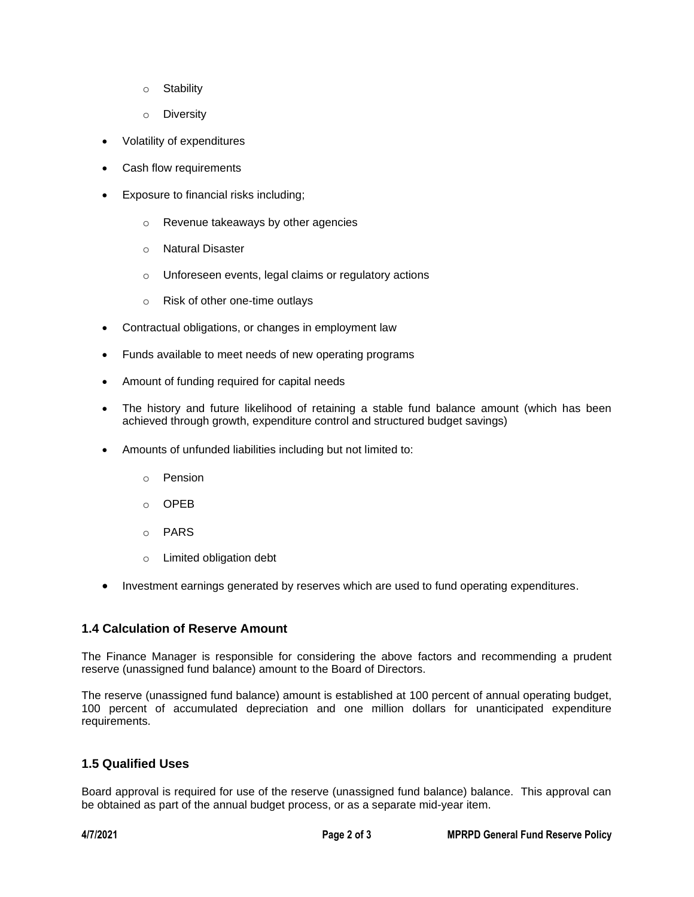- o Stability
- o Diversity
- Volatility of expenditures
- Cash flow requirements
- Exposure to financial risks including;
	- o Revenue takeaways by other agencies
	- o Natural Disaster
	- o Unforeseen events, legal claims or regulatory actions
	- o Risk of other one-time outlays
- Contractual obligations, or changes in employment law
- Funds available to meet needs of new operating programs
- Amount of funding required for capital needs
- The history and future likelihood of retaining a stable fund balance amount (which has been achieved through growth, expenditure control and structured budget savings)
- Amounts of unfunded liabilities including but not limited to:
	- o Pension
	- o OPEB
	- o PARS
	- o Limited obligation debt
- Investment earnings generated by reserves which are used to fund operating expenditures.

# **1.4 Calculation of Reserve Amount**

The Finance Manager is responsible for considering the above factors and recommending a prudent reserve (unassigned fund balance) amount to the Board of Directors.

The reserve (unassigned fund balance) amount is established at 100 percent of annual operating budget, 100 percent of accumulated depreciation and one million dollars for unanticipated expenditure requirements.

# **1.5 Qualified Uses**

Board approval is required for use of the reserve (unassigned fund balance) balance. This approval can be obtained as part of the annual budget process, or as a separate mid-year item.